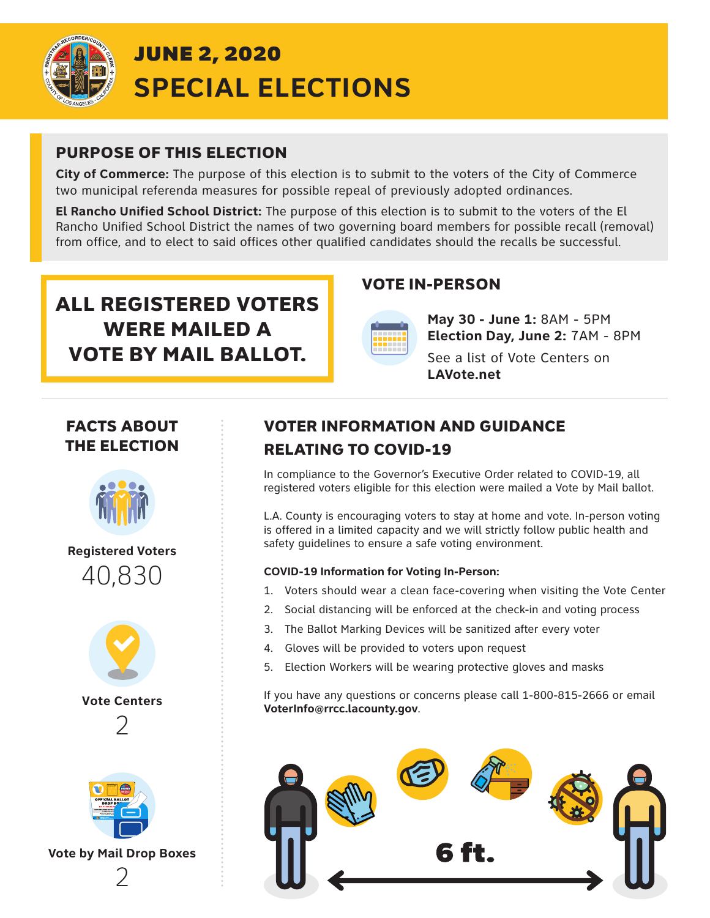

### PURPOSE OF THIS ELECTION

**City of Commerce:** The purpose of this election is to submit to the voters of the City of Commerce two municipal referenda measures for possible repeal of previously adopted ordinances.

**El Rancho Unified School District:** The purpose of this election is to submit to the voters of the El Rancho Unified School District the names of two governing board members for possible recall (removal) from office, and to elect to said offices other qualified candidates should the recalls be successful.

# ALL REGISTERED VOTERS WERE MAILED A VOTE BY MAIL BALLOT.

#### VOTE IN-PERSON



**May 30 - June 1:** 8AM - 5PM **Election Day, June 2:** 7AM - 8PM

See a list of Vote Centers on **LAVote.net**

## FACTS ABOUT THE ELECTION



**Registered Voters** 40,830



**Vote Centers**  2



**Vote by Mail Drop Boxes** 2

# VOTER INFORMATION AND GUIDANCE RELATING TO COVID-19

In compliance to the Governor's Executive Order related to COVID-19, all registered voters eligible for this election were mailed a Vote by Mail ballot.

L.A. County is encouraging voters to stay at home and vote. In-person voting is offered in a limited capacity and we will strictly follow public health and safety guidelines to ensure a safe voting environment.

#### **COVID-19 Information for Voting In-Person:**

- 1. Voters should wear a clean face-covering when visiting the Vote Center
- 2. Social distancing will be enforced at the check-in and voting process
- 3. The Ballot Marking Devices will be sanitized after every voter
- 4. Gloves will be provided to voters upon request
- 5. Election Workers will be wearing protective gloves and masks

If you have any questions or concerns please call 1-800-815-2666 or email **VoterInfo@rrcc.lacounty.gov**.